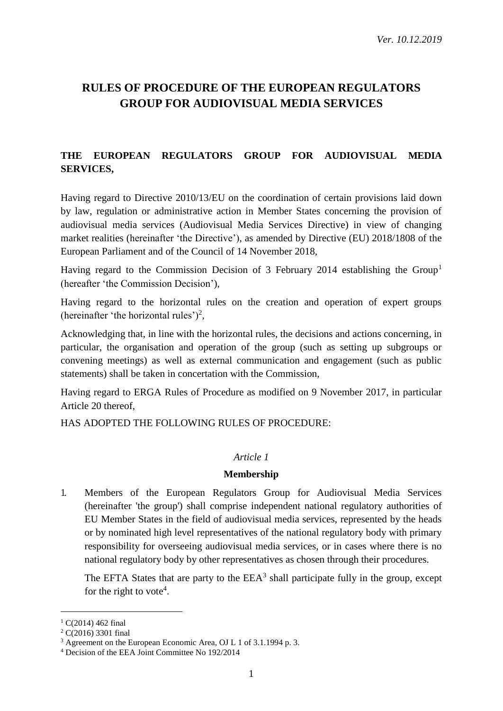# **RULES OF PROCEDURE OF THE EUROPEAN REGULATORS GROUP FOR AUDIOVISUAL MEDIA SERVICES**

# **THE EUROPEAN REGULATORS GROUP FOR AUDIOVISUAL MEDIA SERVICES,**

Having regard to Directive 2010/13/EU on the coordination of certain provisions laid down by law, regulation or administrative action in Member States concerning the provision of audiovisual media services (Audiovisual Media Services Directive) in view of changing market realities (hereinafter 'the Directive'), as amended by Directive (EU) 2018/1808 of the European Parliament and of the Council of 14 November 2018,

Having regard to the Commission Decision of 3 February 2014 establishing the Group<sup>1</sup> (hereafter 'the Commission Decision'),

Having regard to the horizontal rules on the creation and operation of expert groups (hereinafter 'the horizontal rules')<sup>2</sup>,

Acknowledging that, in line with the horizontal rules, the decisions and actions concerning, in particular, the organisation and operation of the group (such as setting up subgroups or convening meetings) as well as external communication and engagement (such as public statements) shall be taken in concertation with the Commission,

Having regard to ERGA Rules of Procedure as modified on 9 November 2017, in particular Article 20 thereof,

HAS ADOPTED THE FOLLOWING RULES OF PROCEDURE:

#### *Article 1*

#### **Membership**

1. Members of the European Regulators Group for Audiovisual Media Services (hereinafter 'the group') shall comprise independent national regulatory authorities of EU Member States in the field of audiovisual media services, represented by the heads or by nominated high level representatives of the national regulatory body with primary responsibility for overseeing audiovisual media services, or in cases where there is no national regulatory body by other representatives as chosen through their procedures.

The EFTA States that are party to the  $EEA<sup>3</sup>$  shall participate fully in the group, except for the right to vote<sup>4</sup>.

 $1 \text{ C}(2014)$  462 final

 $2 C(2016) 3301$  final

<sup>3</sup> Agreement on the European Economic Area, OJ L 1 of 3.1.1994 p. 3.

<sup>4</sup> Decision of the EEA Joint Committee No 192/2014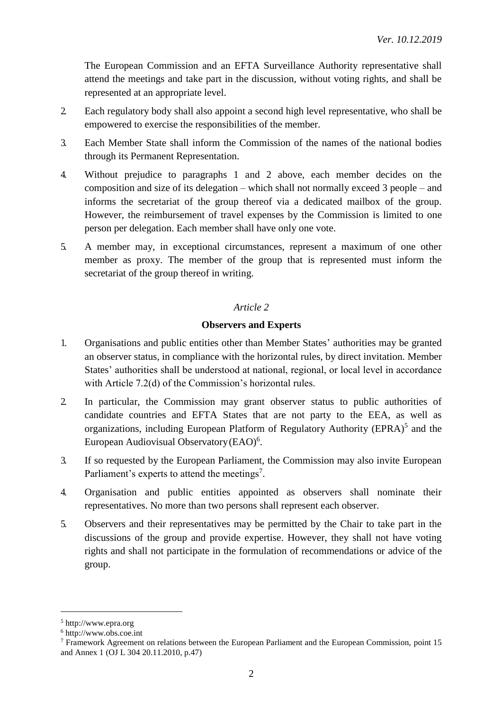The European Commission and an EFTA Surveillance Authority representative shall attend the meetings and take part in the discussion, without voting rights, and shall be represented at an appropriate level.

- 2. Each regulatory body shall also appoint a second high level representative, who shall be empowered to exercise the responsibilities of the member.
- 3. Each Member State shall inform the Commission of the names of the national bodies through its Permanent Representation.
- 4. Without prejudice to paragraphs 1 and 2 above, each member decides on the composition and size of its delegation – which shall not normally exceed 3 people – and informs the secretariat of the group thereof via a dedicated mailbox of the group. However, the reimbursement of travel expenses by the Commission is limited to one person per delegation. Each member shall have only one vote.
- 5. A member may, in exceptional circumstances, represent a maximum of one other member as proxy. The member of the group that is represented must inform the secretariat of the group thereof in writing.

## *Article 2*

## **Observers and Experts**

- 1. Organisations and public entities other than Member States' authorities may be granted an observer status, in compliance with the horizontal rules, by direct invitation. Member States' authorities shall be understood at national, regional, or local level in accordance with Article 7.2(d) of the Commission's horizontal rules.
- 2. In particular, the Commission may grant observer status to public authorities of candidate countries and EFTA States that are not party to the EEA, as well as organizations, including European Platform of Regulatory Authority (EPRA)<sup>5</sup> and the European Audiovisual Observatory (EAO)<sup>6</sup>.
- 3. If so requested by the European Parliament, the Commission may also invite European Parliament's experts to attend the meetings<sup>7</sup>.
- 4. Organisation and public entities appointed as observers shall nominate their representatives. No more than two persons shall represent each observer.
- 5. Observers and their representatives may be permitted by the Chair to take part in the discussions of the group and provide expertise. However, they shall not have voting rights and shall not participate in the formulation of recommendations or advice of the group.

<sup>5</sup> [http://www.epra.org](http://www.epra.org/)

<sup>6</sup> [http://www.obs.coe.int](http://www.obs.coe.int/)

<sup>7</sup> Framework Agreement on relations between the European Parliament and the European Commission, point 15 and Annex 1 (OJ L 304 20.11.2010, p.47)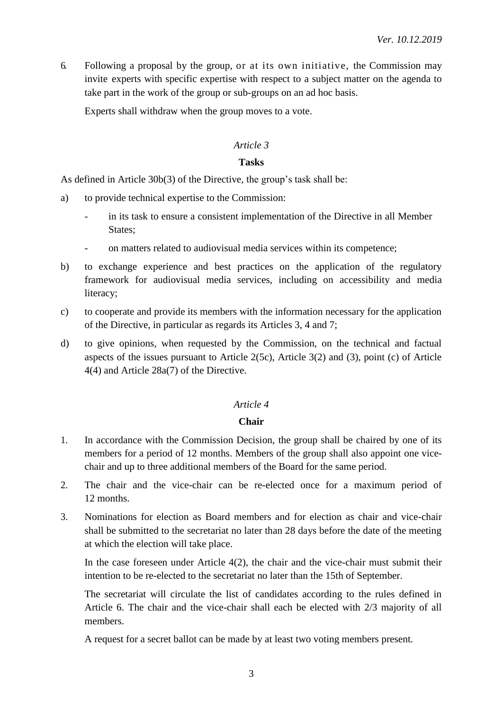6. Following a proposal by the group, or at its own initiative, the Commission may invite experts with specific expertise with respect to a subject matter on the agenda to take part in the work of the group or sub-groups on an ad hoc basis.

Experts shall withdraw when the group moves to a vote.

#### *Article 3*

#### **Tasks**

As defined in Article 30b(3) of the Directive, the group's task shall be:

- a) to provide technical expertise to the Commission:
	- in its task to ensure a consistent implementation of the Directive in all Member States;
	- on matters related to audiovisual media services within its competence;
- b) to exchange experience and best practices on the application of the regulatory framework for audiovisual media services, including on accessibility and media literacy;
- c) to cooperate and provide its members with the information necessary for the application of the Directive, in particular as regards its Articles 3, 4 and 7;
- d) to give opinions, when requested by the Commission, on the technical and factual aspects of the issues pursuant to Article 2(5c), Article 3(2) and (3), point (c) of Article 4(4) and Article 28a(7) of the Directive.

## *Article 4*

#### **Chair**

- 1. In accordance with the Commission Decision, the group shall be chaired by one of its members for a period of 12 months. Members of the group shall also appoint one vicechair and up to three additional members of the Board for the same period.
- 2. The chair and the vice-chair can be re-elected once for a maximum period of 12 months.
- 3. Nominations for election as Board members and for election as chair and vice-chair shall be submitted to the secretariat no later than 28 days before the date of the meeting at which the election will take place.

In the case foreseen under Article  $4(2)$ , the chair and the vice-chair must submit their intention to be re-elected to the secretariat no later than the 15th of September.

The secretariat will circulate the list of candidates according to the rules defined in Article 6. The chair and the vice-chair shall each be elected with 2/3 majority of all members.

A request for a secret ballot can be made by at least two voting members present.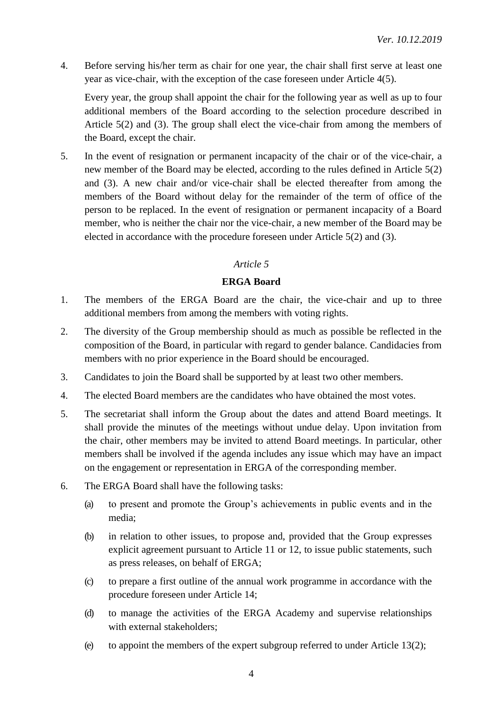4. Before serving his/her term as chair for one year, the chair shall first serve at least one year as vice-chair, with the exception of the case foreseen under Article 4(5).

Every year, the group shall appoint the chair for the following year as well as up to four additional members of the Board according to the selection procedure described in Article 5(2) and (3). The group shall elect the vice-chair from among the members of the Board, except the chair.

5. In the event of resignation or permanent incapacity of the chair or of the vice-chair, a new member of the Board may be elected, according to the rules defined in Article 5(2) and (3). A new chair and/or vice-chair shall be elected thereafter from among the members of the Board without delay for the remainder of the term of office of the person to be replaced. In the event of resignation or permanent incapacity of a Board member, who is neither the chair nor the vice-chair, a new member of the Board may be elected in accordance with the procedure foreseen under Article 5(2) and (3).

#### *Article 5*

## **ERGA Board**

- 1. The members of the ERGA Board are the chair, the vice-chair and up to three additional members from among the members with voting rights.
- 2. The diversity of the Group membership should as much as possible be reflected in the composition of the Board, in particular with regard to gender balance. Candidacies from members with no prior experience in the Board should be encouraged.
- 3. Candidates to join the Board shall be supported by at least two other members.
- 4. The elected Board members are the candidates who have obtained the most votes.
- 5. The secretariat shall inform the Group about the dates and attend Board meetings. It shall provide the minutes of the meetings without undue delay. Upon invitation from the chair, other members may be invited to attend Board meetings. In particular, other members shall be involved if the agenda includes any issue which may have an impact on the engagement or representation in ERGA of the corresponding member.
- 6. The ERGA Board shall have the following tasks:
	- (a) to present and promote the Group's achievements in public events and in the media;
	- (b) in relation to other issues, to propose and, provided that the Group expresses explicit agreement pursuant to Article 11 or 12, to issue public statements, such as press releases, on behalf of ERGA;
	- (c) to prepare a first outline of the annual work programme in accordance with the procedure foreseen under Article 14;
	- (d) to manage the activities of the ERGA Academy and supervise relationships with external stakeholders;
	- (e) to appoint the members of the expert subgroup referred to under Article  $13(2)$ ;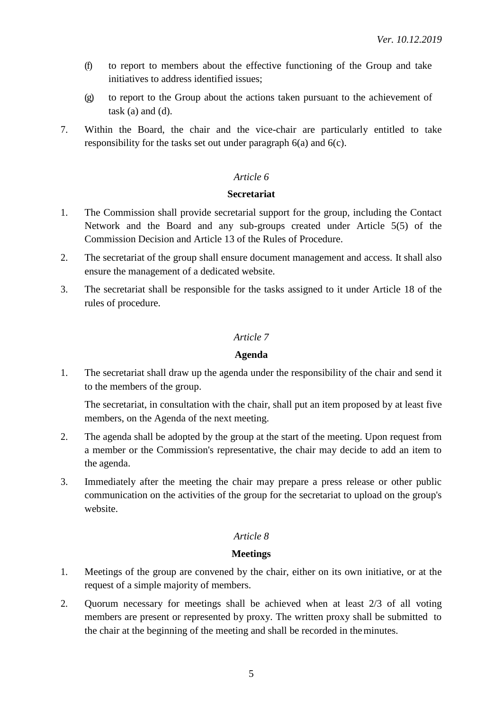- (f) to report to members about the effective functioning of the Group and take initiatives to address identified issues;
- (g) to report to the Group about the actions taken pursuant to the achievement of task  $(a)$  and  $(d)$ .
- 7. Within the Board, the chair and the vice-chair are particularly entitled to take responsibility for the tasks set out under paragraph 6(a) and 6(c).

#### **Secretariat**

- 1. The Commission shall provide secretarial support for the group, including the Contact Network and the Board and any sub-groups created under Article 5(5) of the Commission Decision and Article 13 of the Rules of Procedure.
- 2. The secretariat of the group shall ensure document management and access. It shall also ensure the management of a dedicated website.
- 3. The secretariat shall be responsible for the tasks assigned to it under Article 18 of the rules of procedure.

#### *Article 7*

#### **Agenda**

1. The secretariat shall draw up the agenda under the responsibility of the chair and send it to the members of the group.

The secretariat, in consultation with the chair, shall put an item proposed by at least five members, on the Agenda of the next meeting.

- 2. The agenda shall be adopted by the group at the start of the meeting. Upon request from a member or the Commission's representative, the chair may decide to add an item to the agenda.
- 3. Immediately after the meeting the chair may prepare a press release or other public communication on the activities of the group for the secretariat to upload on the group's website.

#### *Article 8*

#### **Meetings**

- 1. Meetings of the group are convened by the chair, either on its own initiative, or at the request of a simple majority of members.
- 2. Quorum necessary for meetings shall be achieved when at least 2/3 of all voting members are present or represented by proxy. The written proxy shall be submitted to the chair at the beginning of the meeting and shall be recorded in theminutes.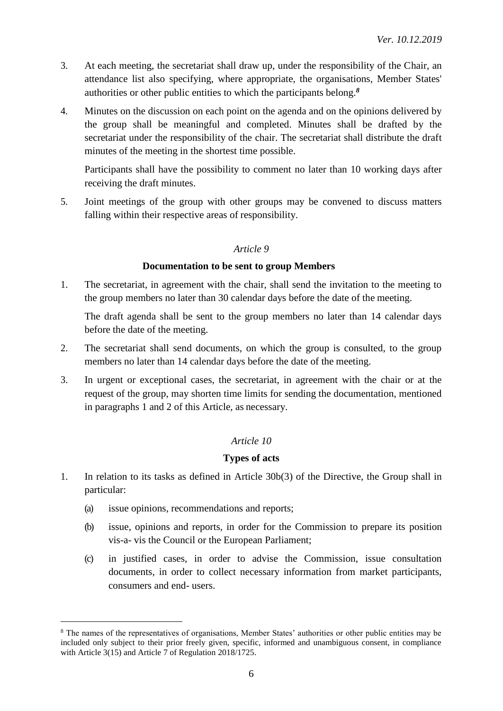- 3. At each meeting, the secretariat shall draw up, under the responsibility of the Chair, an attendance list also specifying, where appropriate, the organisations, Member States' authorities or other public entities to which the participants belong. *8*
- 4. Minutes on the discussion on each point on the agenda and on the opinions delivered by the group shall be meaningful and completed. Minutes shall be drafted by the secretariat under the responsibility of the chair. The secretariat shall distribute the draft minutes of the meeting in the shortest time possible.

Participants shall have the possibility to comment no later than 10 working days after receiving the draft minutes.

5. Joint meetings of the group with other groups may be convened to discuss matters falling within their respective areas of responsibility.

## *Article 9*

#### **Documentation to be sent to group Members**

1. The secretariat, in agreement with the chair, shall send the invitation to the meeting to the group members no later than 30 calendar days before the date of the meeting.

The draft agenda shall be sent to the group members no later than 14 calendar days before the date of the meeting.

- 2. The secretariat shall send documents, on which the group is consulted, to the group members no later than 14 calendar days before the date of the meeting.
- 3. In urgent or exceptional cases, the secretariat, in agreement with the chair or at the request of the group, may shorten time limits for sending the documentation, mentioned in paragraphs 1 and 2 of this Article, as necessary.

## *Article 10*

## **Types of acts**

- 1. In relation to its tasks as defined in Article 30b(3) of the Directive, the Group shall in particular:
	- (a) issue opinions, recommendations and reports;

- (b) issue, opinions and reports, in order for the Commission to prepare its position vis-a- vis the Council or the European Parliament;
- (c) in justified cases, in order to advise the Commission, issue consultation documents, in order to collect necessary information from market participants, consumers and end- users.

<sup>&</sup>lt;sup>8</sup> The names of the representatives of organisations, Member States' authorities or other public entities may be included only subject to their prior freely given, specific, informed and unambiguous consent, in compliance with Article 3(15) and Article 7 of Regulation 2018/1725.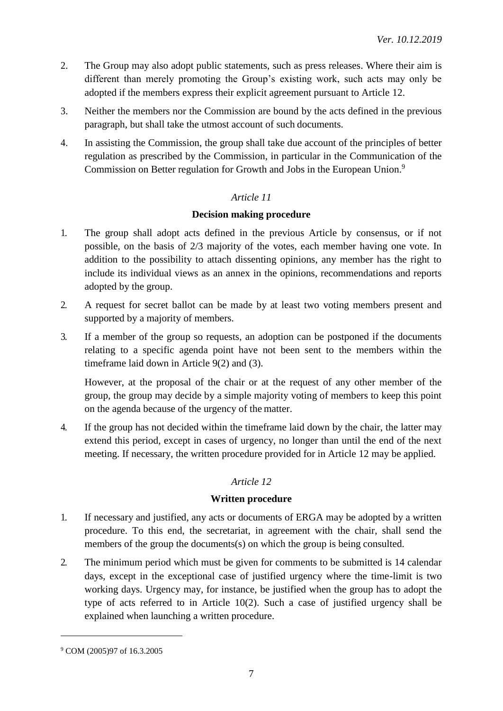- 2. The Group may also adopt public statements, such as press releases. Where their aim is different than merely promoting the Group's existing work, such acts may only be adopted if the members express their explicit agreement pursuant to Article 12.
- 3. Neither the members nor the Commission are bound by the acts defined in the previous paragraph, but shall take the utmost account of such documents.
- 4. In assisting the Commission, the group shall take due account of the principles of better regulation as prescribed by the Commission, in particular in the Communication of the Commission on Better regulation for Growth and Jobs in the European Union.<sup>9</sup>

## **Decision making procedure**

- 1. The group shall adopt acts defined in the previous Article by consensus, or if not possible, on the basis of 2/3 majority of the votes, each member having one vote. In addition to the possibility to attach dissenting opinions, any member has the right to include its individual views as an annex in the opinions, recommendations and reports adopted by the group.
- 2. A request for secret ballot can be made by at least two voting members present and supported by a majority of members.
- 3. If a member of the group so requests, an adoption can be postponed if the documents relating to a specific agenda point have not been sent to the members within the timeframe laid down in Article 9(2) and (3).

However, at the proposal of the chair or at the request of any other member of the group, the group may decide by a simple majority voting of members to keep this point on the agenda because of the urgency of the matter.

4. If the group has not decided within the timeframe laid down by the chair, the latter may extend this period, except in cases of urgency, no longer than until the end of the next meeting. If necessary, the written procedure provided for in Article 12 may be applied.

## *Article 12*

## **Written procedure**

- 1. If necessary and justified, any acts or documents of ERGA may be adopted by a written procedure. To this end, the secretariat, in agreement with the chair, shall send the members of the group the documents(s) on which the group is being consulted.
- 2. The minimum period which must be given for comments to be submitted is 14 calendar days, except in the exceptional case of justified urgency where the time-limit is two working days. Urgency may, for instance, be justified when the group has to adopt the type of acts referred to in Article 10(2). Such a case of justified urgency shall be explained when launching a written procedure.

<sup>9</sup> COM (2005)97 of 16.3.2005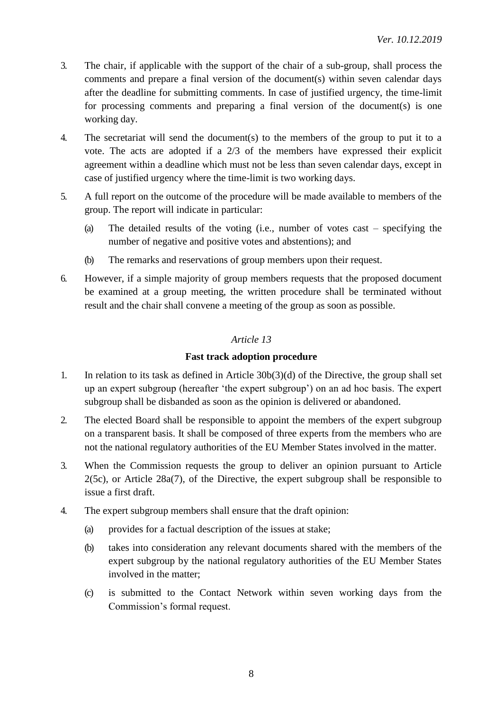- 3. The chair, if applicable with the support of the chair of a sub-group, shall process the comments and prepare a final version of the document(s) within seven calendar days after the deadline for submitting comments. In case of justified urgency, the time-limit for processing comments and preparing a final version of the document(s) is one working day.
- 4. The secretariat will send the document(s) to the members of the group to put it to a vote. The acts are adopted if a 2/3 of the members have expressed their explicit agreement within a deadline which must not be less than seven calendar days, except in case of justified urgency where the time-limit is two working days.
- 5. A full report on the outcome of the procedure will be made available to members of the group. The report will indicate in particular:
	- (a) The detailed results of the voting (i.e., number of votes cast specifying the number of negative and positive votes and abstentions); and
	- (b) The remarks and reservations of group members upon their request.
- 6. However, if a simple majority of group members requests that the proposed document be examined at a group meeting, the written procedure shall be terminated without result and the chair shall convene a meeting of the group as soon as possible.

#### **Fast track adoption procedure**

- 1. In relation to its task as defined in Article 30b(3)(d) of the Directive, the group shall set up an expert subgroup (hereafter 'the expert subgroup') on an ad hoc basis. The expert subgroup shall be disbanded as soon as the opinion is delivered or abandoned.
- 2. The elected Board shall be responsible to appoint the members of the expert subgroup on a transparent basis. It shall be composed of three experts from the members who are not the national regulatory authorities of the EU Member States involved in the matter.
- 3. When the Commission requests the group to deliver an opinion pursuant to Article 2(5c), or Article 28a(7), of the Directive, the expert subgroup shall be responsible to issue a first draft.
- 4. The expert subgroup members shall ensure that the draft opinion:
	- (a) provides for a factual description of the issues at stake;
	- (b) takes into consideration any relevant documents shared with the members of the expert subgroup by the national regulatory authorities of the EU Member States involved in the matter;
	- (c) is submitted to the Contact Network within seven working days from the Commission's formal request.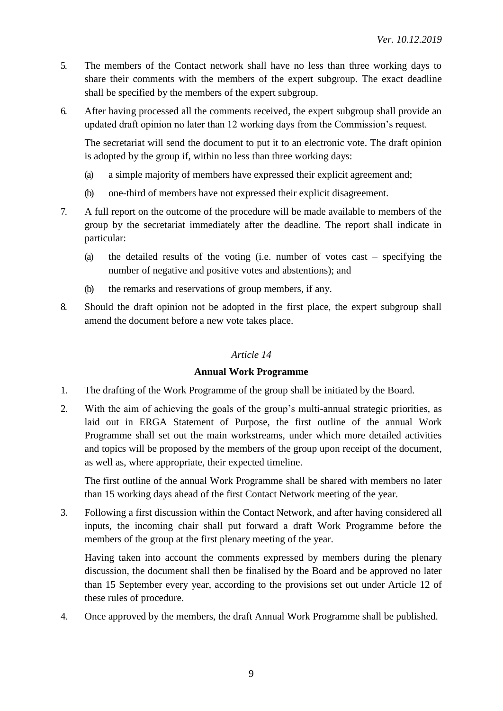- 5. The members of the Contact network shall have no less than three working days to share their comments with the members of the expert subgroup. The exact deadline shall be specified by the members of the expert subgroup.
- 6. After having processed all the comments received, the expert subgroup shall provide an updated draft opinion no later than 12 working days from the Commission's request.

The secretariat will send the document to put it to an electronic vote. The draft opinion is adopted by the group if, within no less than three working days:

- (a) a simple majority of members have expressed their explicit agreement and;
- (b) one-third of members have not expressed their explicit disagreement.
- 7. A full report on the outcome of the procedure will be made available to members of the group by the secretariat immediately after the deadline. The report shall indicate in particular:
	- (a) the detailed results of the voting (i.e. number of votes cast specifying the number of negative and positive votes and abstentions); and
	- (b) the remarks and reservations of group members, if any.
- 8. Should the draft opinion not be adopted in the first place, the expert subgroup shall amend the document before a new vote takes place.

## *Article 14*

## **Annual Work Programme**

- 1. The drafting of the Work Programme of the group shall be initiated by the Board.
- 2. With the aim of achieving the goals of the group's multi-annual strategic priorities, as laid out in ERGA Statement of Purpose, the first outline of the annual Work Programme shall set out the main workstreams, under which more detailed activities and topics will be proposed by the members of the group upon receipt of the document, as well as, where appropriate, their expected timeline.

The first outline of the annual Work Programme shall be shared with members no later than 15 working days ahead of the first Contact Network meeting of the year.

3. Following a first discussion within the Contact Network, and after having considered all inputs, the incoming chair shall put forward a draft Work Programme before the members of the group at the first plenary meeting of the year.

Having taken into account the comments expressed by members during the plenary discussion, the document shall then be finalised by the Board and be approved no later than 15 September every year, according to the provisions set out under Article 12 of these rules of procedure.

4. Once approved by the members, the draft Annual Work Programme shall be published.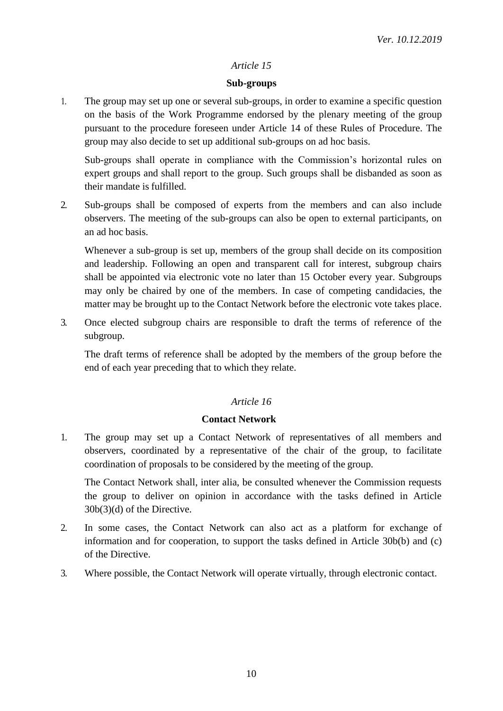#### **Sub-groups**

1. The group may set up one or several sub-groups, in order to examine a specific question on the basis of the Work Programme endorsed by the plenary meeting of the group pursuant to the procedure foreseen under Article 14 of these Rules of Procedure. The group may also decide to set up additional sub-groups on ad hoc basis.

Sub-groups shall operate in compliance with the Commission's horizontal rules on expert groups and shall report to the group. Such groups shall be disbanded as soon as their mandate is fulfilled.

2. Sub-groups shall be composed of experts from the members and can also include observers. The meeting of the sub-groups can also be open to external participants, on an ad hoc basis.

Whenever a sub-group is set up, members of the group shall decide on its composition and leadership. Following an open and transparent call for interest, subgroup chairs shall be appointed via electronic vote no later than 15 October every year. Subgroups may only be chaired by one of the members. In case of competing candidacies, the matter may be brought up to the Contact Network before the electronic vote takes place.

3. Once elected subgroup chairs are responsible to draft the terms of reference of the subgroup.

The draft terms of reference shall be adopted by the members of the group before the end of each year preceding that to which they relate.

## *Article 16*

#### **Contact Network**

1. The group may set up a Contact Network of representatives of all members and observers, coordinated by a representative of the chair of the group, to facilitate coordination of proposals to be considered by the meeting of the group.

The Contact Network shall, inter alia, be consulted whenever the Commission requests the group to deliver on opinion in accordance with the tasks defined in Article 30b(3)(d) of the Directive.

- 2. In some cases, the Contact Network can also act as a platform for exchange of information and for cooperation, to support the tasks defined in Article 30b(b) and (c) of the Directive.
- 3. Where possible, the Contact Network will operate virtually, through electronic contact.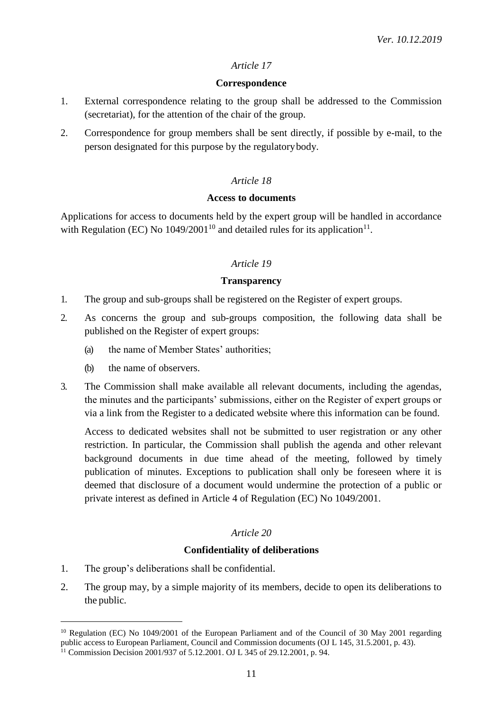#### **Correspondence**

- 1. External correspondence relating to the group shall be addressed to the Commission (secretariat), for the attention of the chair of the group.
- 2. Correspondence for group members shall be sent directly, if possible by e-mail, to the person designated for this purpose by the regulatorybody.

## *Article 18*

#### **Access to documents**

Applications for access to documents held by the expert group will be handled in accordance with Regulation (EC) No  $1049/2001^{10}$  and detailed rules for its application<sup>11</sup>.

#### *Article 19*

#### **Transparency**

- 1. The group and sub-groups shall be registered on the Register of expert groups.
- 2. As concerns the group and sub-groups composition, the following data shall be published on the Register of expert groups:
	- (a) the name of Member States' authorities;
	- (b) the name of observers.
- 3. The Commission shall make available all relevant documents, including the agendas, the minutes and the participants' submissions, either on the Register of expert groups or via a link from the Register to a dedicated website where this information can be found.

Access to dedicated websites shall not be submitted to user registration or any other restriction. In particular, the Commission shall publish the agenda and other relevant background documents in due time ahead of the meeting, followed by timely publication of minutes. Exceptions to publication shall only be foreseen where it is deemed that disclosure of a document would undermine the protection of a public or private interest as defined in Article 4 of Regulation (EC) No 1049/2001.

## *Article 20*

## **Confidentiality of deliberations**

1. The group's deliberations shall be confidential.

<u>.</u>

2. The group may, by a simple majority of its members, decide to open its deliberations to the public.

<sup>&</sup>lt;sup>10</sup> Regulation (EC) No 1049/2001 of the European Parliament and of the Council of 30 May 2001 regarding public access to European Parliament, Council and Commission documents (OJ L 145, 31.5.2001, p. 43).

<sup>&</sup>lt;sup>11</sup> Commission Decision 2001/937 of 5.12.2001. OJ L 345 of 29.12.2001, p. 94.